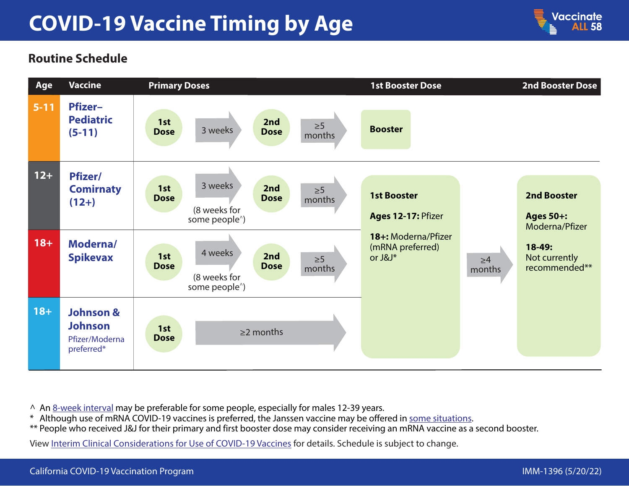## **COVID-19 Vaccine Timing by Age**



## **Routine Schedule**



- ^ An [8-week interval](https://www.cdc.gov/vaccines/covid-19/clinical-considerations/interim-considerations-us.html#recommendations) may be preferable for some people, especially for males 12-39 years.
- \* Although use of mRNA COVID-19 vaccines is preferred, the Janssen vaccine may be offered in [some situations.](https://www.cdc.gov/coronavirus/2019-ncov/vaccines/different-vaccines/janssen.html#When-to-Consider-J&J)
- \*\* People who received J&J for their primary and first booster dose may consider receiving an mRNA vaccine as a second booster.

View [Interim Clinical Considerations for Use of COVID-19 Vaccines](https://www.cdc.gov/vaccines/covid-19/clinical-considerations/covid-19-vaccines-us.html) for details. Schedule is subject to change.